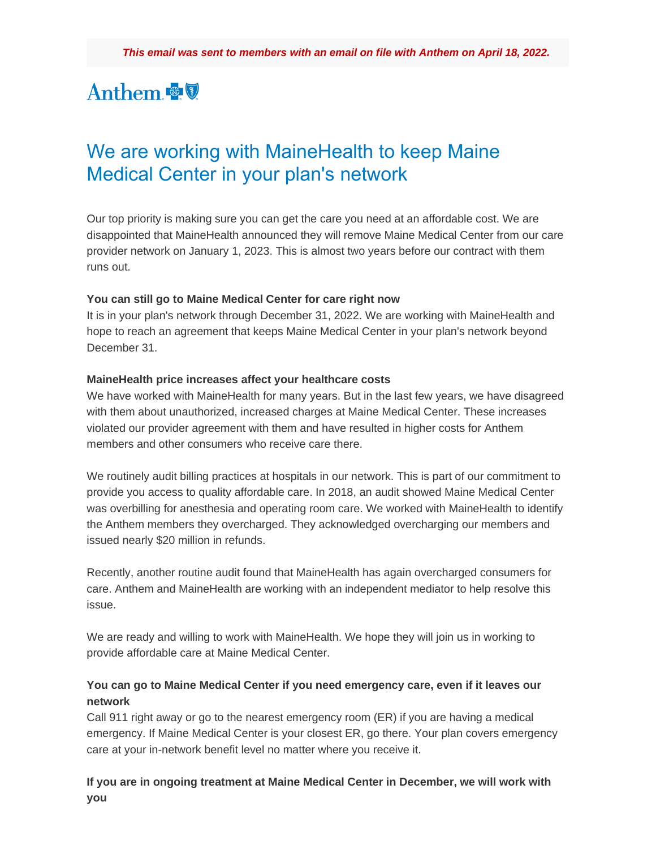# Anthem

## We are working with MaineHealth to keep Maine Medical Center in your plan's network

Our top priority is making sure you can get the care you need at an affordable cost. We are disappointed that MaineHealth announced they will remove Maine Medical Center from our care provider network on January 1, 2023. This is almost two years before our contract with them runs out.

#### **You can still go to Maine Medical Center for care right now**

It is in your plan's network through December 31, 2022. We are working with MaineHealth and hope to reach an agreement that keeps Maine Medical Center in your plan's network beyond December 31.

#### **MaineHealth price increases affect your healthcare costs**

We have worked with MaineHealth for many years. But in the last few years, we have disagreed with them about unauthorized, increased charges at Maine Medical Center. These increases violated our provider agreement with them and have resulted in higher costs for Anthem members and other consumers who receive care there.

We routinely audit billing practices at hospitals in our network. This is part of our commitment to provide you access to quality affordable care. In 2018, an audit showed Maine Medical Center was overbilling for anesthesia and operating room care. We worked with MaineHealth to identify the Anthem members they overcharged. They acknowledged overcharging our members and issued nearly \$20 million in refunds.

Recently, another routine audit found that MaineHealth has again overcharged consumers for care. Anthem and MaineHealth are working with an independent mediator to help resolve this issue.

We are ready and willing to work with MaineHealth. We hope they will join us in working to provide affordable care at Maine Medical Center.

### **You can go to Maine Medical Center if you need emergency care, even if it leaves our network**

Call 911 right away or go to the nearest emergency room (ER) if you are having a medical emergency. If Maine Medical Center is your closest ER, go there. Your plan covers emergency care at your in-network benefit level no matter where you receive it.

**If you are in ongoing treatment at Maine Medical Center in December, we will work with you**